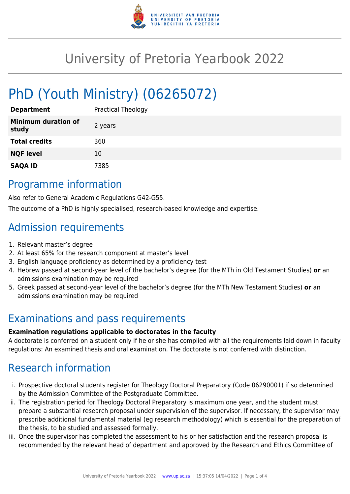

# University of Pretoria Yearbook 2022

# PhD (Youth Ministry) (06265072)

| <b>Department</b>                   | <b>Practical Theology</b> |
|-------------------------------------|---------------------------|
| <b>Minimum duration of</b><br>study | 2 years                   |
| <b>Total credits</b>                | 360                       |
| <b>NQF level</b>                    | 10                        |
| <b>SAQA ID</b>                      | 7385                      |

## Programme information

Also refer to General Academic Regulations G42-G55.

The outcome of a PhD is highly specialised, research-based knowledge and expertise.

# Admission requirements

- 1. Relevant master's degree
- 2. At least 65% for the research component at master's level
- 3. English language proficiency as determined by a proficiency test
- 4. Hebrew passed at second-year level of the bachelor's degree (for the MTh in Old Testament Studies) **or** an admissions examination may be required
- 5. Greek passed at second-year level of the bachelor's degree (for the MTh New Testament Studies) **or** an admissions examination may be required

## Examinations and pass requirements

#### **Examination regulations applicable to doctorates in the faculty**

A doctorate is conferred on a student only if he or she has complied with all the requirements laid down in faculty regulations: An examined thesis and oral examination. The doctorate is not conferred with distinction.

# Research information

- i. Prospective doctoral students register for Theology Doctoral Preparatory (Code 06290001) if so determined by the Admission Committee of the Postgraduate Committee.
- ii. The registration period for Theology Doctoral Preparatory is maximum one year, and the student must prepare a substantial research proposal under supervision of the supervisor. If necessary, the supervisor may prescribe additional fundamental material (eg research methodology) which is essential for the preparation of the thesis, to be studied and assessed formally.
- iii. Once the supervisor has completed the assessment to his or her satisfaction and the research proposal is recommended by the relevant head of department and approved by the Research and Ethics Committee of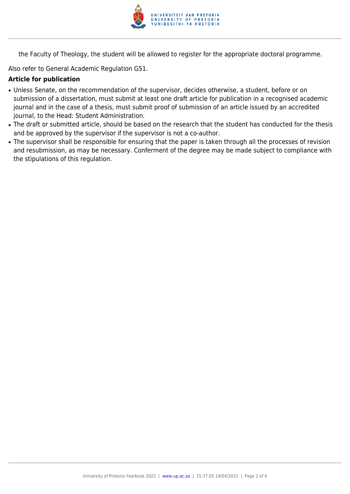

the Faculty of Theology, the student will be allowed to register for the appropriate doctoral programme.

Also refer to General Academic Regulation G51.

#### **Article for publication**

- Unless Senate, on the recommendation of the supervisor, decides otherwise, a student, before or on submission of a dissertation, must submit at least one draft article for publication in a recognised academic journal and in the case of a thesis, must submit proof of submission of an article issued by an accredited journal, to the Head: Student Administration.
- The draft or submitted article, should be based on the research that the student has conducted for the thesis and be approved by the supervisor if the supervisor is not a co-author.
- The supervisor shall be responsible for ensuring that the paper is taken through all the processes of revision and resubmission, as may be necessary. Conferment of the degree may be made subject to compliance with the stipulations of this regulation.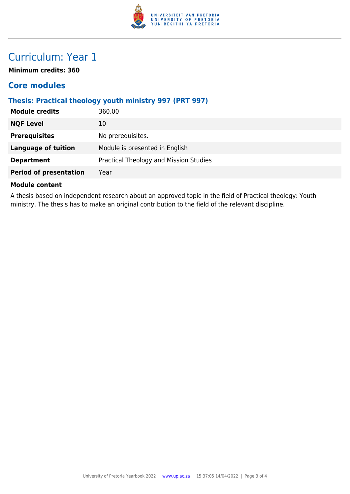

# Curriculum: Year 1

**Minimum credits: 360**

### **Core modules**

#### **Thesis: Practical theology youth ministry 997 (PRT 997)**

| <b>Module credits</b>         | 360.00                                 |
|-------------------------------|----------------------------------------|
| <b>NQF Level</b>              | 10                                     |
| <b>Prerequisites</b>          | No prerequisites.                      |
| <b>Language of tuition</b>    | Module is presented in English         |
| <b>Department</b>             | Practical Theology and Mission Studies |
| <b>Period of presentation</b> | Year                                   |
|                               |                                        |

#### **Module content**

A thesis based on independent research about an approved topic in the field of Practical theology: Youth ministry. The thesis has to make an original contribution to the field of the relevant discipline.